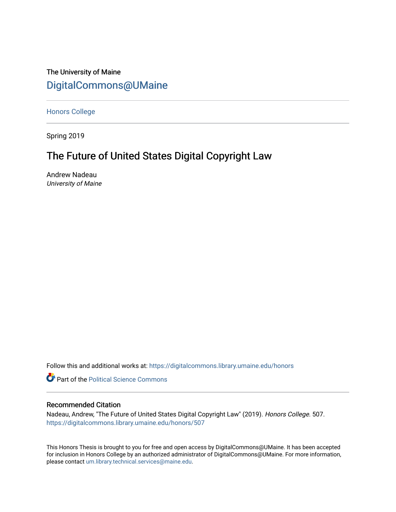## The University of Maine [DigitalCommons@UMaine](https://digitalcommons.library.umaine.edu/)

[Honors College](https://digitalcommons.library.umaine.edu/honors)

Spring 2019

# The Future of United States Digital Copyright Law

Andrew Nadeau University of Maine

Follow this and additional works at: [https://digitalcommons.library.umaine.edu/honors](https://digitalcommons.library.umaine.edu/honors?utm_source=digitalcommons.library.umaine.edu%2Fhonors%2F507&utm_medium=PDF&utm_campaign=PDFCoverPages) 

**Part of the Political Science Commons** 

### Recommended Citation

Nadeau, Andrew, "The Future of United States Digital Copyright Law" (2019). Honors College. 507. [https://digitalcommons.library.umaine.edu/honors/507](https://digitalcommons.library.umaine.edu/honors/507?utm_source=digitalcommons.library.umaine.edu%2Fhonors%2F507&utm_medium=PDF&utm_campaign=PDFCoverPages) 

This Honors Thesis is brought to you for free and open access by DigitalCommons@UMaine. It has been accepted for inclusion in Honors College by an authorized administrator of DigitalCommons@UMaine. For more information, please contact [um.library.technical.services@maine.edu.](mailto:um.library.technical.services@maine.edu)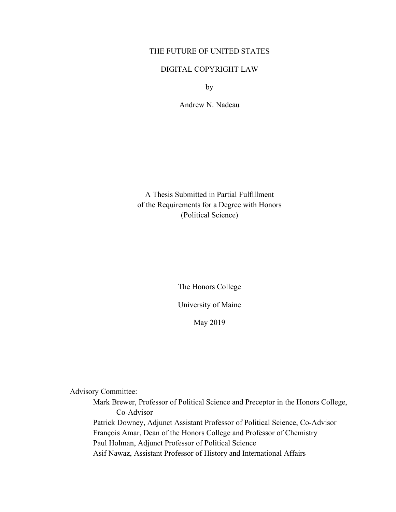## THE FUTURE OF UNITED STATES

## DIGITAL COPYRIGHT LAW

by

Andrew N. Nadeau

A Thesis Submitted in Partial Fulfillment of the Requirements for a Degree with Honors (Political Science)

The Honors College

University of Maine

May 2019

Advisory Committee:

Mark Brewer, Professor of Political Science and Preceptor in the Honors College, Co-Advisor Patrick Downey, Adjunct Assistant Professor of Political Science, Co-Advisor François Amar, Dean of the Honors College and Professor of Chemistry Paul Holman, Adjunct Professor of Political Science Asif Nawaz, Assistant Professor of History and International Affairs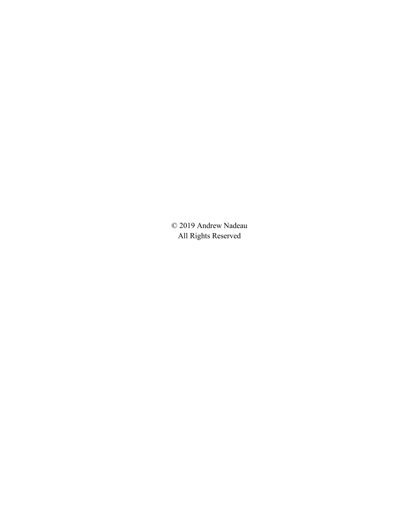© 2019 Andrew Nadeau All Rights Reserved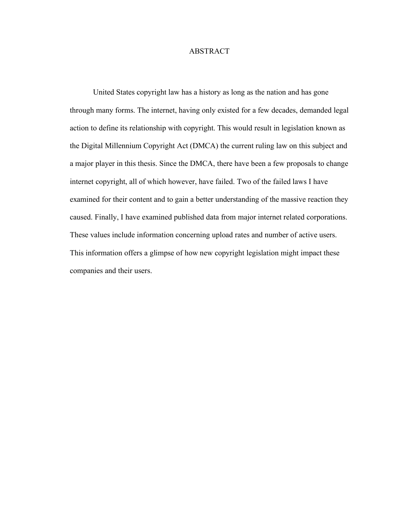## ABSTRACT

United States copyright law has a history as long as the nation and has gone through many forms. The internet, having only existed for a few decades, demanded legal action to define its relationship with copyright. This would result in legislation known as the Digital Millennium Copyright Act (DMCA) the current ruling law on this subject and a major player in this thesis. Since the DMCA, there have been a few proposals to change internet copyright, all of which however, have failed. Two of the failed laws I have examined for their content and to gain a better understanding of the massive reaction they caused. Finally, I have examined published data from major internet related corporations. These values include information concerning upload rates and number of active users. This information offers a glimpse of how new copyright legislation might impact these companies and their users.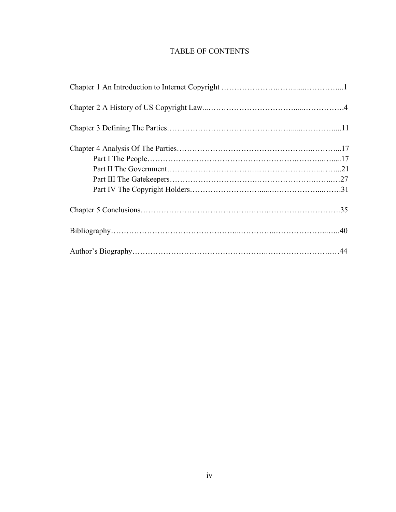## TABLE OF CONTENTS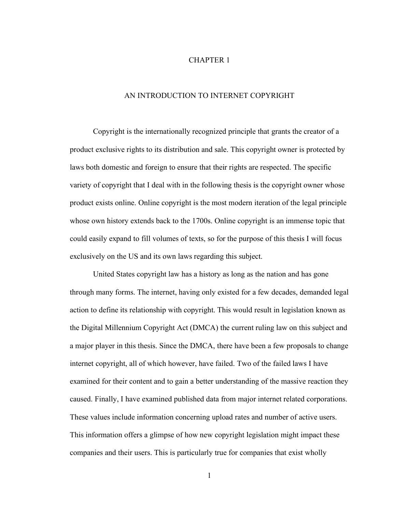## CHAPTER 1

## AN INTRODUCTION TO INTERNET COPYRIGHT

Copyright is the internationally recognized principle that grants the creator of a product exclusive rights to its distribution and sale. This copyright owner is protected by laws both domestic and foreign to ensure that their rights are respected. The specific variety of copyright that I deal with in the following thesis is the copyright owner whose product exists online. Online copyright is the most modern iteration of the legal principle whose own history extends back to the 1700s. Online copyright is an immense topic that could easily expand to fill volumes of texts, so for the purpose of this thesis I will focus exclusively on the US and its own laws regarding this subject.

United States copyright law has a history as long as the nation and has gone through many forms. The internet, having only existed for a few decades, demanded legal action to define its relationship with copyright. This would result in legislation known as the Digital Millennium Copyright Act (DMCA) the current ruling law on this subject and a major player in this thesis. Since the DMCA, there have been a few proposals to change internet copyright, all of which however, have failed. Two of the failed laws I have examined for their content and to gain a better understanding of the massive reaction they caused. Finally, I have examined published data from major internet related corporations. These values include information concerning upload rates and number of active users. This information offers a glimpse of how new copyright legislation might impact these companies and their users. This is particularly true for companies that exist wholly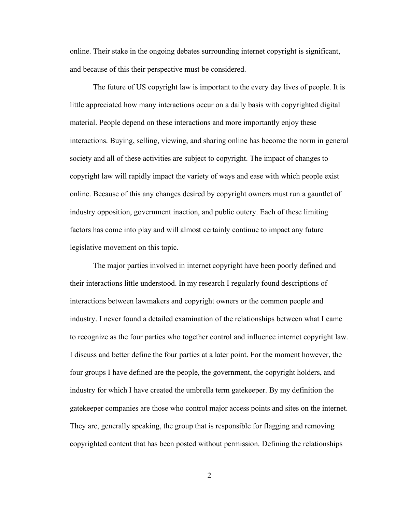online. Their stake in the ongoing debates surrounding internet copyright is significant, and because of this their perspective must be considered.

The future of US copyright law is important to the every day lives of people. It is little appreciated how many interactions occur on a daily basis with copyrighted digital material. People depend on these interactions and more importantly enjoy these interactions. Buying, selling, viewing, and sharing online has become the norm in general society and all of these activities are subject to copyright. The impact of changes to copyright law will rapidly impact the variety of ways and ease with which people exist online. Because of this any changes desired by copyright owners must run a gauntlet of industry opposition, government inaction, and public outcry. Each of these limiting factors has come into play and will almost certainly continue to impact any future legislative movement on this topic.

The major parties involved in internet copyright have been poorly defined and their interactions little understood. In my research I regularly found descriptions of interactions between lawmakers and copyright owners or the common people and industry. I never found a detailed examination of the relationships between what I came to recognize as the four parties who together control and influence internet copyright law. I discuss and better define the four parties at a later point. For the moment however, the four groups I have defined are the people, the government, the copyright holders, and industry for which I have created the umbrella term gatekeeper. By my definition the gatekeeper companies are those who control major access points and sites on the internet. They are, generally speaking, the group that is responsible for flagging and removing copyrighted content that has been posted without permission. Defining the relationships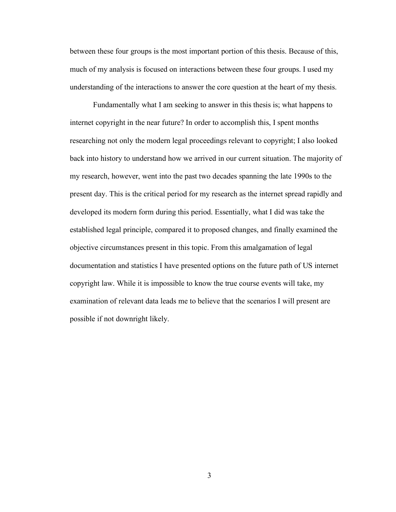between these four groups is the most important portion of this thesis. Because of this, much of my analysis is focused on interactions between these four groups. I used my understanding of the interactions to answer the core question at the heart of my thesis.

Fundamentally what I am seeking to answer in this thesis is; what happens to internet copyright in the near future? In order to accomplish this, I spent months researching not only the modern legal proceedings relevant to copyright; I also looked back into history to understand how we arrived in our current situation. The majority of my research, however, went into the past two decades spanning the late 1990s to the present day. This is the critical period for my research as the internet spread rapidly and developed its modern form during this period. Essentially, what I did was take the established legal principle, compared it to proposed changes, and finally examined the objective circumstances present in this topic. From this amalgamation of legal documentation and statistics I have presented options on the future path of US internet copyright law. While it is impossible to know the true course events will take, my examination of relevant data leads me to believe that the scenarios I will present are possible if not downright likely.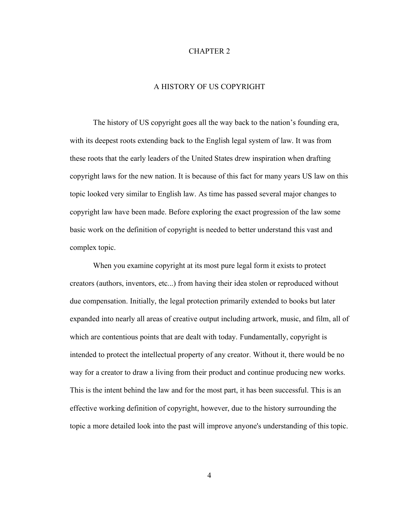#### CHAPTER 2

## A HISTORY OF US COPYRIGHT

The history of US copyright goes all the way back to the nation's founding era, with its deepest roots extending back to the English legal system of law. It was from these roots that the early leaders of the United States drew inspiration when drafting copyright laws for the new nation. It is because of this fact for many years US law on this topic looked very similar to English law. As time has passed several major changes to copyright law have been made. Before exploring the exact progression of the law some basic work on the definition of copyright is needed to better understand this vast and complex topic.

When you examine copyright at its most pure legal form it exists to protect creators (authors, inventors, etc...) from having their idea stolen or reproduced without due compensation. Initially, the legal protection primarily extended to books but later expanded into nearly all areas of creative output including artwork, music, and film, all of which are contentious points that are dealt with today. Fundamentally, copyright is intended to protect the intellectual property of any creator. Without it, there would be no way for a creator to draw a living from their product and continue producing new works. This is the intent behind the law and for the most part, it has been successful. This is an effective working definition of copyright, however, due to the history surrounding the topic a more detailed look into the past will improve anyone's understanding of this topic.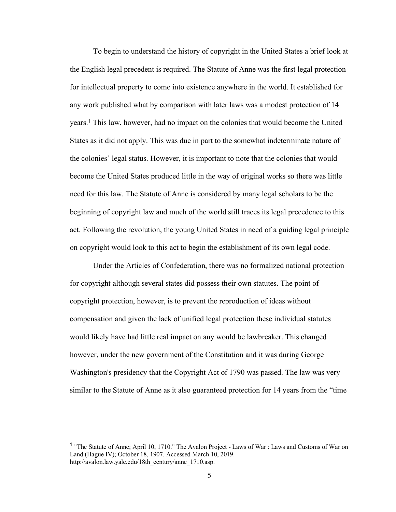To begin to understand the history of copyright in the United States a brief look at the English legal precedent is required. The Statute of Anne was the first legal protection for intellectual property to come into existence anywhere in the world. It established for any work published what by comparison with later laws was a modest protection of 14 years.1 This law, however, had no impact on the colonies that would become the United States as it did not apply. This was due in part to the somewhat indeterminate nature of the colonies' legal status. However, it is important to note that the colonies that would become the United States produced little in the way of original works so there was little need for this law. The Statute of Anne is considered by many legal scholars to be the beginning of copyright law and much of the world still traces its legal precedence to this act. Following the revolution, the young United States in need of a guiding legal principle on copyright would look to this act to begin the establishment of its own legal code.

Under the Articles of Confederation, there was no formalized national protection for copyright although several states did possess their own statutes. The point of copyright protection, however, is to prevent the reproduction of ideas without compensation and given the lack of unified legal protection these individual statutes would likely have had little real impact on any would be lawbreaker. This changed however, under the new government of the Constitution and it was during George Washington's presidency that the Copyright Act of 1790 was passed. The law was very similar to the Statute of Anne as it also guaranteed protection for 14 years from the "time

<sup>&</sup>lt;sup>1</sup> "The Statute of Anne; April 10, 1710." The Avalon Project - Laws of War : Laws and Customs of War on Land (Hague IV); October 18, 1907. Accessed March 10, 2019. http://avalon.law.yale.edu/18th\_century/anne\_1710.asp.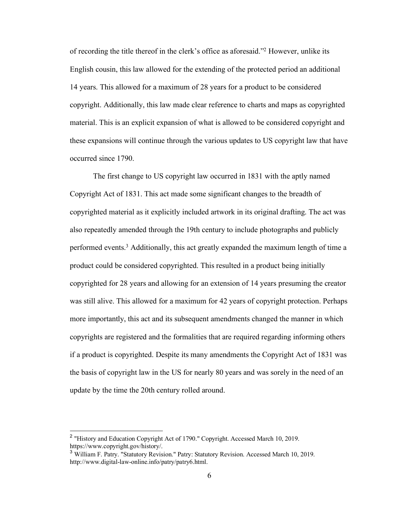of recording the title thereof in the clerk's office as aforesaid."2 However, unlike its English cousin, this law allowed for the extending of the protected period an additional 14 years. This allowed for a maximum of 28 years for a product to be considered copyright. Additionally, this law made clear reference to charts and maps as copyrighted material. This is an explicit expansion of what is allowed to be considered copyright and these expansions will continue through the various updates to US copyright law that have occurred since 1790.

The first change to US copyright law occurred in 1831 with the aptly named Copyright Act of 1831. This act made some significant changes to the breadth of copyrighted material as it explicitly included artwork in its original drafting. The act was also repeatedly amended through the 19th century to include photographs and publicly performed events. <sup>3</sup> Additionally, this act greatly expanded the maximum length of time a product could be considered copyrighted. This resulted in a product being initially copyrighted for 28 years and allowing for an extension of 14 years presuming the creator was still alive. This allowed for a maximum for 42 years of copyright protection. Perhaps more importantly, this act and its subsequent amendments changed the manner in which copyrights are registered and the formalities that are required regarding informing others if a product is copyrighted. Despite its many amendments the Copyright Act of 1831 was the basis of copyright law in the US for nearly 80 years and was sorely in the need of an update by the time the 20th century rolled around.

 <sup>2</sup> "History and Education Copyright Act of 1790." Copyright. Accessed March 10, 2019. https://www.copyright.gov/history/.

<sup>3</sup> William F. Patry. "Statutory Revision." Patry: Statutory Revision. Accessed March 10, 2019. http://www.digital-law-online.info/patry/patry6.html.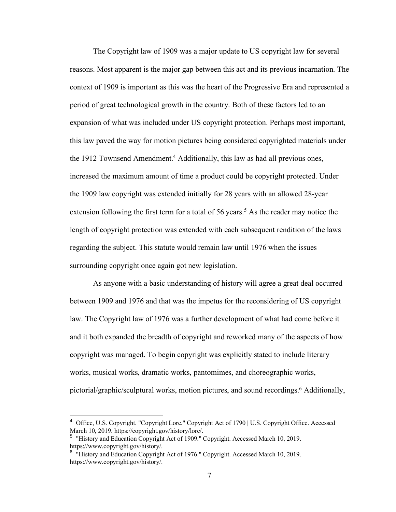The Copyright law of 1909 was a major update to US copyright law for several reasons. Most apparent is the major gap between this act and its previous incarnation. The context of 1909 is important as this was the heart of the Progressive Era and represented a period of great technological growth in the country. Both of these factors led to an expansion of what was included under US copyright protection. Perhaps most important, this law paved the way for motion pictures being considered copyrighted materials under the 1912 Townsend Amendment.<sup>4</sup> Additionally, this law as had all previous ones, increased the maximum amount of time a product could be copyright protected. Under the 1909 law copyright was extended initially for 28 years with an allowed 28-year extension following the first term for a total of 56 years.<sup>5</sup> As the reader may notice the length of copyright protection was extended with each subsequent rendition of the laws regarding the subject. This statute would remain law until 1976 when the issues surrounding copyright once again got new legislation.

As anyone with a basic understanding of history will agree a great deal occurred between 1909 and 1976 and that was the impetus for the reconsidering of US copyright law. The Copyright law of 1976 was a further development of what had come before it and it both expanded the breadth of copyright and reworked many of the aspects of how copyright was managed. To begin copyright was explicitly stated to include literary works, musical works, dramatic works, pantomimes, and choreographic works, pictorial/graphic/sculptural works, motion pictures, and sound recordings.<sup>6</sup> Additionally,

 <sup>4</sup> Office, U.S. Copyright. "Copyright Lore." Copyright Act of 1790 | U.S. Copyright Office. Accessed March 10, 2019. https://copyright.gov/history/lore/.

<sup>&</sup>lt;sup>5</sup> "History and Education Copyright Act of 1909." Copyright. Accessed March 10, 2019. https://www.copyright.gov/history/.

<sup>&</sup>lt;sup>6</sup> "History and Education Copyright Act of 1976." Copyright. Accessed March 10, 2019. https://www.copyright.gov/history/.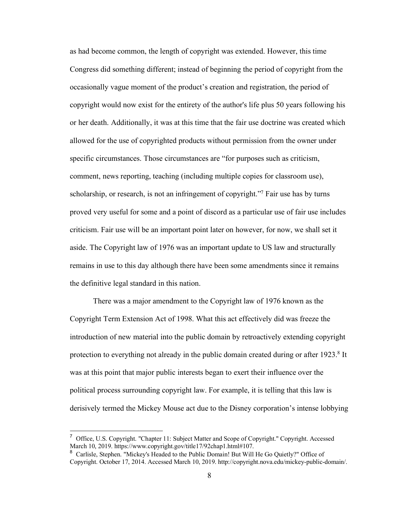as had become common, the length of copyright was extended. However, this time Congress did something different; instead of beginning the period of copyright from the occasionally vague moment of the product's creation and registration, the period of copyright would now exist for the entirety of the author's life plus 50 years following his or her death. Additionally, it was at this time that the fair use doctrine was created which allowed for the use of copyrighted products without permission from the owner under specific circumstances. Those circumstances are "for purposes such as criticism, comment, news reporting, teaching (including multiple copies for classroom use), scholarship, or research, is not an infringement of copyright."<sup>7</sup> Fair use has by turns proved very useful for some and a point of discord as a particular use of fair use includes criticism. Fair use will be an important point later on however, for now, we shall set it aside. The Copyright law of 1976 was an important update to US law and structurally remains in use to this day although there have been some amendments since it remains the definitive legal standard in this nation.

There was a major amendment to the Copyright law of 1976 known as the Copyright Term Extension Act of 1998. What this act effectively did was freeze the introduction of new material into the public domain by retroactively extending copyright protection to everything not already in the public domain created during or after 1923.<sup>8</sup> It was at this point that major public interests began to exert their influence over the political process surrounding copyright law. For example, it is telling that this law is derisively termed the Mickey Mouse act due to the Disney corporation's intense lobbying

<sup>&</sup>lt;sup>7</sup> Office, U.S. Copyright. "Chapter 11: Subject Matter and Scope of Copyright." Copyright. Accessed March 10, 2019. https://www.copyright.gov/title17/92chap1.html#107.

<sup>&</sup>lt;sup>8</sup> Carlisle, Stephen. "Mickey's Headed to the Public Domain! But Will He Go Quietly?" Office of Copyright. October 17, 2014. Accessed March 10, 2019. http://copyright.nova.edu/mickey-public-domain/.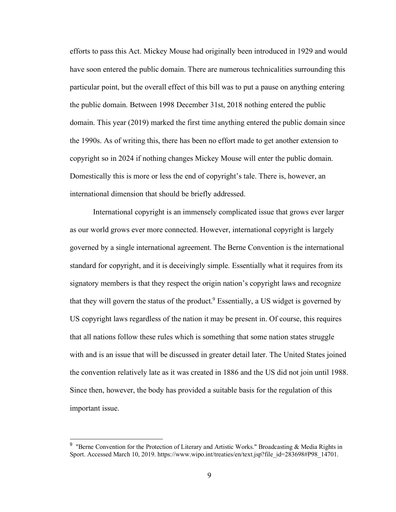efforts to pass this Act. Mickey Mouse had originally been introduced in 1929 and would have soon entered the public domain. There are numerous technicalities surrounding this particular point, but the overall effect of this bill was to put a pause on anything entering the public domain. Between 1998 December 31st, 2018 nothing entered the public domain. This year (2019) marked the first time anything entered the public domain since the 1990s. As of writing this, there has been no effort made to get another extension to copyright so in 2024 if nothing changes Mickey Mouse will enter the public domain. Domestically this is more or less the end of copyright's tale. There is, however, an international dimension that should be briefly addressed.

International copyright is an immensely complicated issue that grows ever larger as our world grows ever more connected. However, international copyright is largely governed by a single international agreement. The Berne Convention is the international standard for copyright, and it is deceivingly simple. Essentially what it requires from its signatory members is that they respect the origin nation's copyright laws and recognize that they will govern the status of the product.9 Essentially, a US widget is governed by US copyright laws regardless of the nation it may be present in. Of course, this requires that all nations follow these rules which is something that some nation states struggle with and is an issue that will be discussed in greater detail later. The United States joined the convention relatively late as it was created in 1886 and the US did not join until 1988. Since then, however, the body has provided a suitable basis for the regulation of this important issue.

<sup>&</sup>lt;sup>9</sup> "Berne Convention for the Protection of Literary and Artistic Works." Broadcasting & Media Rights in Sport. Accessed March 10, 2019. https://www.wipo.int/treaties/en/text.jsp?file\_id=283698#P98\_14701.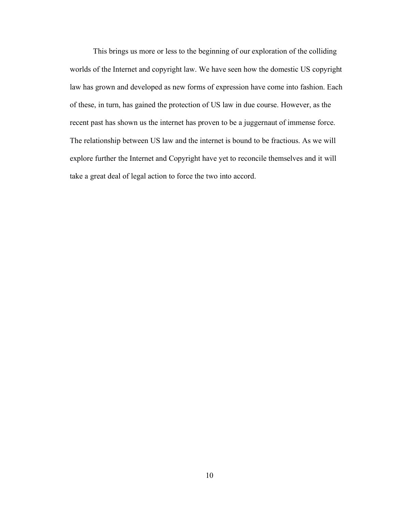This brings us more or less to the beginning of our exploration of the colliding worlds of the Internet and copyright law. We have seen how the domestic US copyright law has grown and developed as new forms of expression have come into fashion. Each of these, in turn, has gained the protection of US law in due course. However, as the recent past has shown us the internet has proven to be a juggernaut of immense force. The relationship between US law and the internet is bound to be fractious. As we will explore further the Internet and Copyright have yet to reconcile themselves and it will take a great deal of legal action to force the two into accord.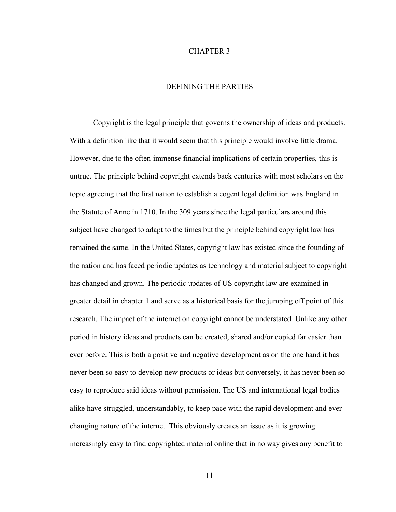#### CHAPTER 3

## DEFINING THE PARTIES

Copyright is the legal principle that governs the ownership of ideas and products. With a definition like that it would seem that this principle would involve little drama. However, due to the often-immense financial implications of certain properties, this is untrue. The principle behind copyright extends back centuries with most scholars on the topic agreeing that the first nation to establish a cogent legal definition was England in the Statute of Anne in 1710. In the 309 years since the legal particulars around this subject have changed to adapt to the times but the principle behind copyright law has remained the same. In the United States, copyright law has existed since the founding of the nation and has faced periodic updates as technology and material subject to copyright has changed and grown. The periodic updates of US copyright law are examined in greater detail in chapter 1 and serve as a historical basis for the jumping off point of this research. The impact of the internet on copyright cannot be understated. Unlike any other period in history ideas and products can be created, shared and/or copied far easier than ever before. This is both a positive and negative development as on the one hand it has never been so easy to develop new products or ideas but conversely, it has never been so easy to reproduce said ideas without permission. The US and international legal bodies alike have struggled, understandably, to keep pace with the rapid development and everchanging nature of the internet. This obviously creates an issue as it is growing increasingly easy to find copyrighted material online that in no way gives any benefit to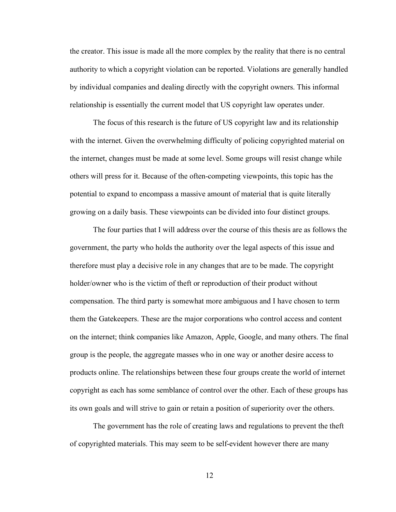the creator. This issue is made all the more complex by the reality that there is no central authority to which a copyright violation can be reported. Violations are generally handled by individual companies and dealing directly with the copyright owners. This informal relationship is essentially the current model that US copyright law operates under.

The focus of this research is the future of US copyright law and its relationship with the internet. Given the overwhelming difficulty of policing copyrighted material on the internet, changes must be made at some level. Some groups will resist change while others will press for it. Because of the often-competing viewpoints, this topic has the potential to expand to encompass a massive amount of material that is quite literally growing on a daily basis. These viewpoints can be divided into four distinct groups.

The four parties that I will address over the course of this thesis are as follows the government, the party who holds the authority over the legal aspects of this issue and therefore must play a decisive role in any changes that are to be made. The copyright holder/owner who is the victim of theft or reproduction of their product without compensation. The third party is somewhat more ambiguous and I have chosen to term them the Gatekeepers. These are the major corporations who control access and content on the internet; think companies like Amazon, Apple, Google, and many others. The final group is the people, the aggregate masses who in one way or another desire access to products online. The relationships between these four groups create the world of internet copyright as each has some semblance of control over the other. Each of these groups has its own goals and will strive to gain or retain a position of superiority over the others.

The government has the role of creating laws and regulations to prevent the theft of copyrighted materials. This may seem to be self-evident however there are many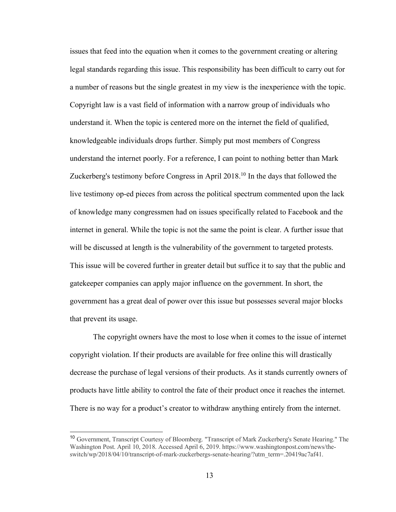issues that feed into the equation when it comes to the government creating or altering legal standards regarding this issue. This responsibility has been difficult to carry out for a number of reasons but the single greatest in my view is the inexperience with the topic. Copyright law is a vast field of information with a narrow group of individuals who understand it. When the topic is centered more on the internet the field of qualified, knowledgeable individuals drops further. Simply put most members of Congress understand the internet poorly. For a reference, I can point to nothing better than Mark Zuckerberg's testimony before Congress in April 2018.10 In the days that followed the live testimony op-ed pieces from across the political spectrum commented upon the lack of knowledge many congressmen had on issues specifically related to Facebook and the internet in general. While the topic is not the same the point is clear. A further issue that will be discussed at length is the vulnerability of the government to targeted protests. This issue will be covered further in greater detail but suffice it to say that the public and gatekeeper companies can apply major influence on the government. In short, the government has a great deal of power over this issue but possesses several major blocks that prevent its usage.

The copyright owners have the most to lose when it comes to the issue of internet copyright violation. If their products are available for free online this will drastically decrease the purchase of legal versions of their products. As it stands currently owners of products have little ability to control the fate of their product once it reaches the internet. There is no way for a product's creator to withdraw anything entirely from the internet.

<sup>&</sup>lt;sup>10</sup> Government, Transcript Courtesy of Bloomberg. "Transcript of Mark Zuckerberg's Senate Hearing." The Washington Post. April 10, 2018. Accessed April 6, 2019. https://www.washingtonpost.com/news/theswitch/wp/2018/04/10/transcript-of-mark-zuckerbergs-senate-hearing/?utm\_term=.20419ac7af41.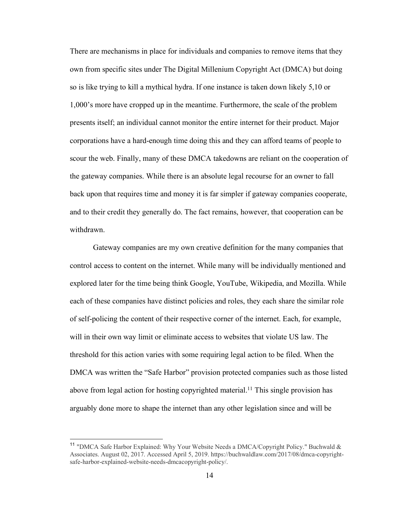There are mechanisms in place for individuals and companies to remove items that they own from specific sites under The Digital Millenium Copyright Act (DMCA) but doing so is like trying to kill a mythical hydra. If one instance is taken down likely 5,10 or 1,000's more have cropped up in the meantime. Furthermore, the scale of the problem presents itself; an individual cannot monitor the entire internet for their product. Major corporations have a hard-enough time doing this and they can afford teams of people to scour the web. Finally, many of these DMCA takedowns are reliant on the cooperation of the gateway companies. While there is an absolute legal recourse for an owner to fall back upon that requires time and money it is far simpler if gateway companies cooperate, and to their credit they generally do. The fact remains, however, that cooperation can be withdrawn.

Gateway companies are my own creative definition for the many companies that control access to content on the internet. While many will be individually mentioned and explored later for the time being think Google, YouTube, Wikipedia, and Mozilla. While each of these companies have distinct policies and roles, they each share the similar role of self-policing the content of their respective corner of the internet. Each, for example, will in their own way limit or eliminate access to websites that violate US law. The threshold for this action varies with some requiring legal action to be filed. When the DMCA was written the "Safe Harbor" provision protected companies such as those listed above from legal action for hosting copyrighted material.<sup>11</sup> This single provision has arguably done more to shape the internet than any other legislation since and will be

<sup>&</sup>lt;sup>11</sup> "DMCA Safe Harbor Explained: Why Your Website Needs a DMCA/Copyright Policy." Buchwald  $\&$ Associates. August 02, 2017. Accessed April 5, 2019. https://buchwaldlaw.com/2017/08/dmca-copyrightsafe-harbor-explained-website-needs-dmcacopyright-policy/.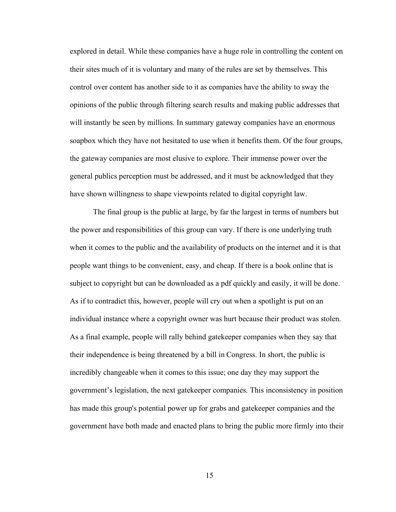explored in detail. While these companies have a huge role in controlling the content on their sites much of it is voluntary and many of the rules are set by themselves. This control over content has another side to it as companies have the ability to sway the opinions of the public through filtering search results and making public addresses that will instantly be seen by millions. In summary gateway companies have an enormous soapbox which they have not hesitated to use when it benefits them. Of the four groups, the gateway companies are most elusive to explore. Their immense power over the general publics perception must be addressed, and it must be acknowledged that they have shown willingness to shape viewpoints related to digital copyright law.

The final group is the public at large, by far the largest in terms of numbers but the power and responsibilities of this group can vary. If there is one underlying truth when it comes to the public and the availability of products on the internet and it is that people want things to be convenient, easy, and cheap. If there is a book online that is subject to copyright but can be downloaded as a pdf quickly and easily, it will be done. As if to contradict this, however, people will cry out when a spotlight is put on an individual instance where a copyright owner was hurt because their product was stolen. As a final example, people will rally behind gatekeeper companies when they say that their independence is being threatened by a bill in Congress. In short, the public is incredibly changeable when it comes to this issue; one day they may support the government's legislation, the next gatekeeper companies. This inconsistency in position has made this group's potential power up for grabs and gatekeeper companies and the government have both made and enacted plans to bring the public more firmly into their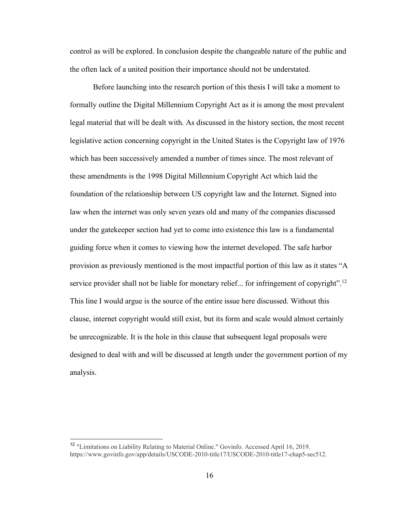control as will be explored. In conclusion despite the changeable nature of the public and the often lack of a united position their importance should not be understated.

Before launching into the research portion of this thesis I will take a moment to formally outline the Digital Millennium Copyright Act as it is among the most prevalent legal material that will be dealt with. As discussed in the history section, the most recent legislative action concerning copyright in the United States is the Copyright law of 1976 which has been successively amended a number of times since. The most relevant of these amendments is the 1998 Digital Millennium Copyright Act which laid the foundation of the relationship between US copyright law and the Internet. Signed into law when the internet was only seven years old and many of the companies discussed under the gatekeeper section had yet to come into existence this law is a fundamental guiding force when it comes to viewing how the internet developed. The safe harbor provision as previously mentioned is the most impactful portion of this law as it states "A service provider shall not be liable for monetary relief... for infringement of copyright".<sup>12</sup> This line I would argue is the source of the entire issue here discussed. Without this clause, internet copyright would still exist, but its form and scale would almost certainly be unrecognizable. It is the hole in this clause that subsequent legal proposals were designed to deal with and will be discussed at length under the government portion of my analysis.

<sup>&</sup>lt;sup>12</sup> "Limitations on Liability Relating to Material Online." Govinfo. Accessed April 16, 2019. https://www.govinfo.gov/app/details/USCODE-2010-title17/USCODE-2010-title17-chap5-sec512.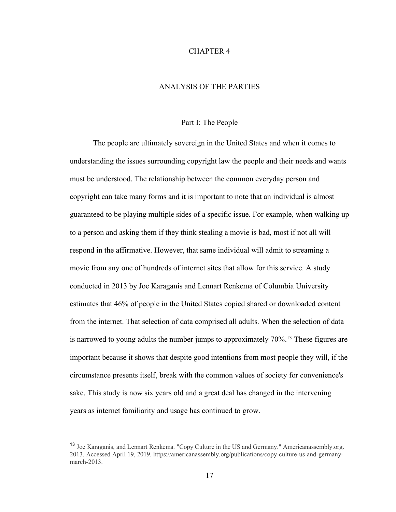#### CHAPTER 4

## ANALYSIS OF THE PARTIES

#### Part I: The People

The people are ultimately sovereign in the United States and when it comes to understanding the issues surrounding copyright law the people and their needs and wants must be understood. The relationship between the common everyday person and copyright can take many forms and it is important to note that an individual is almost guaranteed to be playing multiple sides of a specific issue. For example, when walking up to a person and asking them if they think stealing a movie is bad, most if not all will respond in the affirmative. However, that same individual will admit to streaming a movie from any one of hundreds of internet sites that allow for this service. A study conducted in 2013 by Joe Karaganis and Lennart Renkema of Columbia University estimates that 46% of people in the United States copied shared or downloaded content from the internet. That selection of data comprised all adults. When the selection of data is narrowed to young adults the number jumps to approximately 70%.<sup>13</sup> These figures are important because it shows that despite good intentions from most people they will, if the circumstance presents itself, break with the common values of society for convenience's sake. This study is now six years old and a great deal has changed in the intervening years as internet familiarity and usage has continued to grow.

<sup>&</sup>lt;sup>13</sup> Joe Karaganis, and Lennart Renkema. "Copy Culture in the US and Germany." Americanassembly.org. 2013. Accessed April 19, 2019. https://americanassembly.org/publications/copy-culture-us-and-germanymarch-2013.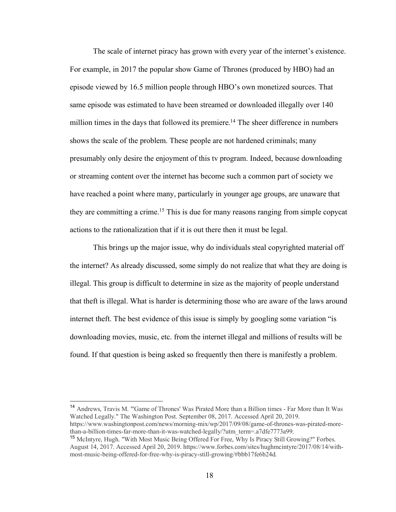The scale of internet piracy has grown with every year of the internet's existence. For example, in 2017 the popular show Game of Thrones (produced by HBO) had an episode viewed by 16.5 million people through HBO's own monetized sources. That same episode was estimated to have been streamed or downloaded illegally over 140 million times in the days that followed its premiere.<sup>14</sup> The sheer difference in numbers shows the scale of the problem. These people are not hardened criminals; many presumably only desire the enjoyment of this tv program. Indeed, because downloading or streaming content over the internet has become such a common part of society we have reached a point where many, particularly in younger age groups, are unaware that they are committing a crime.15 This is due for many reasons ranging from simple copycat actions to the rationalization that if it is out there then it must be legal.

This brings up the major issue, why do individuals steal copyrighted material off the internet? As already discussed, some simply do not realize that what they are doing is illegal. This group is difficult to determine in size as the majority of people understand that theft is illegal. What is harder is determining those who are aware of the laws around internet theft. The best evidence of this issue is simply by googling some variation "is downloading movies, music, etc. from the internet illegal and millions of results will be found. If that question is being asked so frequently then there is manifestly a problem.

 14 Andrews, Travis M. "'Game of Thrones' Was Pirated More than a Billion times - Far More than It Was Watched Legally." The Washington Post. September 08, 2017. Accessed April 20, 2019. https://www.washingtonpost.com/news/morning-mix/wp/2017/09/08/game-of-thrones-was-pirated-morethan-a-billion-times-far-more-than-it-was-watched-legally/?utm\_term=.a7dfe7773a99.

<sup>&</sup>lt;sup>15</sup> McIntyre, Hugh. "With Most Music Being Offered For Free, Why Is Piracy Still Growing?" Forbes. August 14, 2017. Accessed April 20, 2019. https://www.forbes.com/sites/hughmcintyre/2017/08/14/withmost-music-being-offered-for-free-why-is-piracy-still-growing/#bbb17fe6b24d.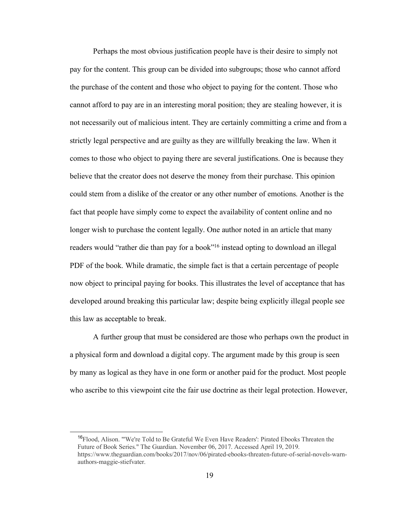Perhaps the most obvious justification people have is their desire to simply not pay for the content. This group can be divided into subgroups; those who cannot afford the purchase of the content and those who object to paying for the content. Those who cannot afford to pay are in an interesting moral position; they are stealing however, it is not necessarily out of malicious intent. They are certainly committing a crime and from a strictly legal perspective and are guilty as they are willfully breaking the law. When it comes to those who object to paying there are several justifications. One is because they believe that the creator does not deserve the money from their purchase. This opinion could stem from a dislike of the creator or any other number of emotions. Another is the fact that people have simply come to expect the availability of content online and no longer wish to purchase the content legally. One author noted in an article that many readers would "rather die than pay for a book"<sup>16</sup> instead opting to download an illegal PDF of the book. While dramatic, the simple fact is that a certain percentage of people now object to principal paying for books. This illustrates the level of acceptance that has developed around breaking this particular law; despite being explicitly illegal people see this law as acceptable to break.

A further group that must be considered are those who perhaps own the product in a physical form and download a digital copy. The argument made by this group is seen by many as logical as they have in one form or another paid for the product. Most people who ascribe to this viewpoint cite the fair use doctrine as their legal protection. However,

<sup>&</sup>lt;sup>16</sup>Flood, Alison. "'We're Told to Be Grateful We Even Have Readers': Pirated Ebooks Threaten the Future of Book Series." The Guardian. November 06, 2017. Accessed April 19, 2019. https://www.theguardian.com/books/2017/nov/06/pirated-ebooks-threaten-future-of-serial-novels-warnauthors-maggie-stiefvater.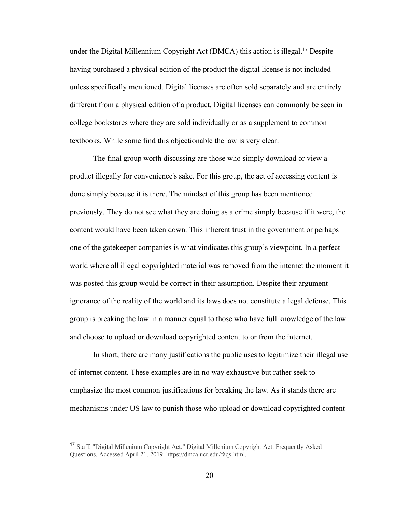under the Digital Millennium Copyright Act (DMCA) this action is illegal.<sup>17</sup> Despite having purchased a physical edition of the product the digital license is not included unless specifically mentioned. Digital licenses are often sold separately and are entirely different from a physical edition of a product. Digital licenses can commonly be seen in college bookstores where they are sold individually or as a supplement to common textbooks. While some find this objectionable the law is very clear.

The final group worth discussing are those who simply download or view a product illegally for convenience's sake. For this group, the act of accessing content is done simply because it is there. The mindset of this group has been mentioned previously. They do not see what they are doing as a crime simply because if it were, the content would have been taken down. This inherent trust in the government or perhaps one of the gatekeeper companies is what vindicates this group's viewpoint. In a perfect world where all illegal copyrighted material was removed from the internet the moment it was posted this group would be correct in their assumption. Despite their argument ignorance of the reality of the world and its laws does not constitute a legal defense. This group is breaking the law in a manner equal to those who have full knowledge of the law and choose to upload or download copyrighted content to or from the internet.

In short, there are many justifications the public uses to legitimize their illegal use of internet content. These examples are in no way exhaustive but rather seek to emphasize the most common justifications for breaking the law. As it stands there are mechanisms under US law to punish those who upload or download copyrighted content

 <sup>17</sup> Staff. "Digital Millenium Copyright Act." Digital Millenium Copyright Act: Frequently Asked Questions. Accessed April 21, 2019. https://dmca.ucr.edu/faqs.html.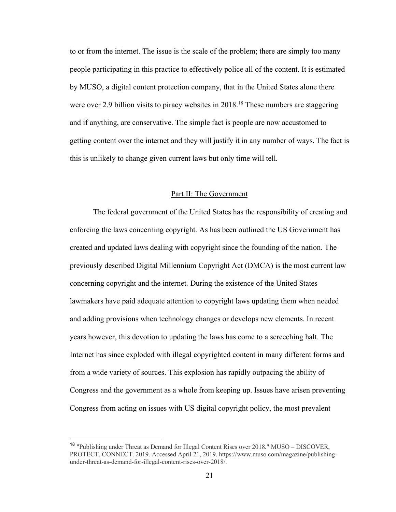to or from the internet. The issue is the scale of the problem; there are simply too many people participating in this practice to effectively police all of the content. It is estimated by MUSO, a digital content protection company, that in the United States alone there were over 2.9 billion visits to piracy websites in 2018.<sup>18</sup> These numbers are staggering and if anything, are conservative. The simple fact is people are now accustomed to getting content over the internet and they will justify it in any number of ways. The fact is this is unlikely to change given current laws but only time will tell.

## Part II: The Government

The federal government of the United States has the responsibility of creating and enforcing the laws concerning copyright. As has been outlined the US Government has created and updated laws dealing with copyright since the founding of the nation. The previously described Digital Millennium Copyright Act (DMCA) is the most current law concerning copyright and the internet. During the existence of the United States lawmakers have paid adequate attention to copyright laws updating them when needed and adding provisions when technology changes or develops new elements. In recent years however, this devotion to updating the laws has come to a screeching halt. The Internet has since exploded with illegal copyrighted content in many different forms and from a wide variety of sources. This explosion has rapidly outpacing the ability of Congress and the government as a whole from keeping up. Issues have arisen preventing Congress from acting on issues with US digital copyright policy, the most prevalent

<sup>&</sup>lt;sup>18</sup> "Publishing under Threat as Demand for Illegal Content Rises over 2018." MUSO – DISCOVER, PROTECT, CONNECT. 2019. Accessed April 21, 2019. https://www.muso.com/magazine/publishingunder-threat-as-demand-for-illegal-content-rises-over-2018/.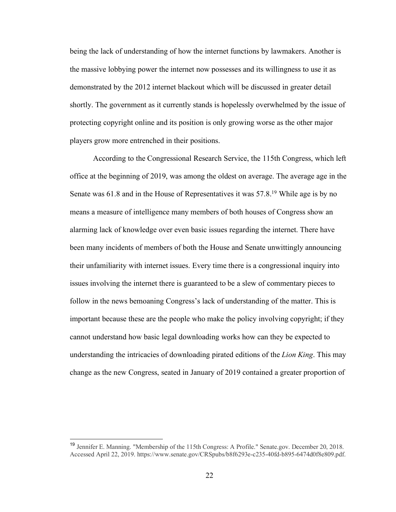being the lack of understanding of how the internet functions by lawmakers. Another is the massive lobbying power the internet now possesses and its willingness to use it as demonstrated by the 2012 internet blackout which will be discussed in greater detail shortly. The government as it currently stands is hopelessly overwhelmed by the issue of protecting copyright online and its position is only growing worse as the other major players grow more entrenched in their positions.

According to the Congressional Research Service, the 115th Congress, which left office at the beginning of 2019, was among the oldest on average. The average age in the Senate was 61.8 and in the House of Representatives it was 57.8.<sup>19</sup> While age is by no means a measure of intelligence many members of both houses of Congress show an alarming lack of knowledge over even basic issues regarding the internet. There have been many incidents of members of both the House and Senate unwittingly announcing their unfamiliarity with internet issues. Every time there is a congressional inquiry into issues involving the internet there is guaranteed to be a slew of commentary pieces to follow in the news bemoaning Congress's lack of understanding of the matter. This is important because these are the people who make the policy involving copyright; if they cannot understand how basic legal downloading works how can they be expected to understanding the intricacies of downloading pirated editions of the *Lion King*. This may change as the new Congress, seated in January of 2019 contained a greater proportion of

 <sup>19</sup> Jennifer E. Manning. "Membership of the 115th Congress: A Profile." Senate.gov. December 20, 2018. Accessed April 22, 2019. https://www.senate.gov/CRSpubs/b8f6293e-c235-40fd-b895-6474d0f8e809.pdf.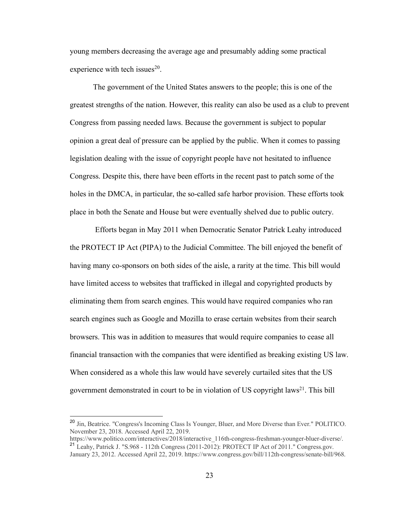young members decreasing the average age and presumably adding some practical experience with tech issues $^{20}$ .

The government of the United States answers to the people; this is one of the greatest strengths of the nation. However, this reality can also be used as a club to prevent Congress from passing needed laws. Because the government is subject to popular opinion a great deal of pressure can be applied by the public. When it comes to passing legislation dealing with the issue of copyright people have not hesitated to influence Congress. Despite this, there have been efforts in the recent past to patch some of the holes in the DMCA, in particular, the so-called safe harbor provision. These efforts took place in both the Senate and House but were eventually shelved due to public outcry.

Efforts began in May 2011 when Democratic Senator Patrick Leahy introduced the PROTECT IP Act (PIPA) to the Judicial Committee. The bill enjoyed the benefit of having many co-sponsors on both sides of the aisle, a rarity at the time. This bill would have limited access to websites that trafficked in illegal and copyrighted products by eliminating them from search engines. This would have required companies who ran search engines such as Google and Mozilla to erase certain websites from their search browsers. This was in addition to measures that would require companies to cease all financial transaction with the companies that were identified as breaking existing US law. When considered as a whole this law would have severely curtailed sites that the US government demonstrated in court to be in violation of US copyright laws<sup>21</sup>. This bill

<sup>&</sup>lt;sup>20</sup> Jin, Beatrice. "Congress's Incoming Class Is Younger, Bluer, and More Diverse than Ever." POLITICO. November 23, 2018. Accessed April 22, 2019.

https://www.politico.com/interactives/2018/interactive 116th-congress-freshman-younger-bluer-diverse/. <sup>21</sup> Leahy, Patrick J. "S.968 - 112th Congress (2011-2012): PROTECT IP Act of 2011." Congress.gov. January 23, 2012. Accessed April 22, 2019. https://www.congress.gov/bill/112th-congress/senate-bill/968.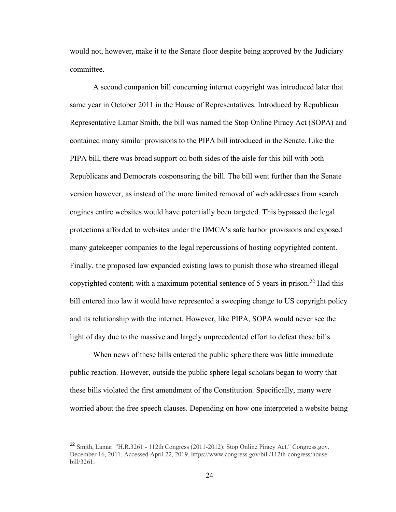would not, however, make it to the Senate floor despite being approved by the Judiciary committee.

A second companion bill concerning internet copyright was introduced later that same year in October 2011 in the House of Representatives. Introduced by Republican Representative Lamar Smith, the bill was named the Stop Online Piracy Act (SOPA) and contained many similar provisions to the PIPA bill introduced in the Senate. Like the PIPA bill, there was broad support on both sides of the aisle for this bill with both Republicans and Democrats cosponsoring the bill. The bill went further than the Senate version however, as instead of the more limited removal of web addresses from search engines entire websites would have potentially been targeted. This bypassed the legal protections afforded to websites under the DMCA's safe harbor provisions and exposed many gatekeeper companies to the legal repercussions of hosting copyrighted content. Finally, the proposed law expanded existing laws to punish those who streamed illegal copyrighted content; with a maximum potential sentence of 5 years in prison. <sup>22</sup> Had this bill entered into law it would have represented a sweeping change to US copyright policy and its relationship with the internet. However, like PIPA, SOPA would never see the light of day due to the massive and largely unprecedented effort to defeat these bills.

When news of these bills entered the public sphere there was little immediate public reaction. However, outside the public sphere legal scholars began to worry that these bills violated the first amendment of the Constitution. Specifically, many were worried about the free speech clauses. Depending on how one interpreted a website being

<sup>&</sup>lt;sup>22</sup> Smith, Lamar. "H.R.3261 - 112th Congress (2011-2012): Stop Online Piracy Act." Congress.gov. December 16, 2011. Accessed April 22, 2019. https://www.congress.gov/bill/112th-congress/housebill/3261.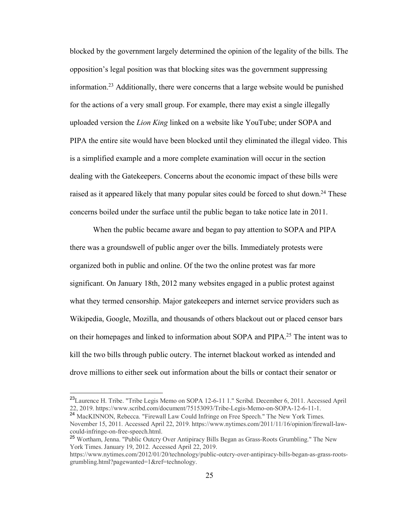blocked by the government largely determined the opinion of the legality of the bills. The opposition's legal position was that blocking sites was the government suppressing information.23 Additionally, there were concerns that a large website would be punished for the actions of a very small group. For example, there may exist a single illegally uploaded version the *Lion King* linked on a website like YouTube; under SOPA and PIPA the entire site would have been blocked until they eliminated the illegal video. This is a simplified example and a more complete examination will occur in the section dealing with the Gatekeepers. Concerns about the economic impact of these bills were raised as it appeared likely that many popular sites could be forced to shut down.<sup>24</sup> These concerns boiled under the surface until the public began to take notice late in 2011.

When the public became aware and began to pay attention to SOPA and PIPA there was a groundswell of public anger over the bills. Immediately protests were organized both in public and online. Of the two the online protest was far more significant. On January 18th, 2012 many websites engaged in a public protest against what they termed censorship. Major gatekeepers and internet service providers such as Wikipedia, Google, Mozilla, and thousands of others blackout out or placed censor bars on their homepages and linked to information about SOPA and PIPA.25 The intent was to kill the two bills through public outcry. The internet blackout worked as intended and drove millions to either seek out information about the bills or contact their senator or

<sup>&</sup>lt;sup>23</sup>Laurence H. Tribe. "Tribe Legis Memo on SOPA 12-6-11 1." Scribd. December 6, 2011. Accessed April 22, 2019. https://www.scribd.com/document/75153093/Tribe-Legis-Memo-on-SOPA-12-6-11-1.

<sup>24</sup> MacKINNON, Rebecca. "Firewall Law Could Infringe on Free Speech." The New York Times. November 15, 2011. Accessed April 22, 2019. https://www.nytimes.com/2011/11/16/opinion/firewall-lawcould-infringe-on-free-speech.html.

<sup>&</sup>lt;sup>25</sup> Wortham, Jenna. "Public Outcry Over Antipiracy Bills Began as Grass-Roots Grumbling." The New York Times. January 19, 2012. Accessed April 22, 2019.

https://www.nytimes.com/2012/01/20/technology/public-outcry-over-antipiracy-bills-began-as-grass-rootsgrumbling.html?pagewanted=1&ref=technology.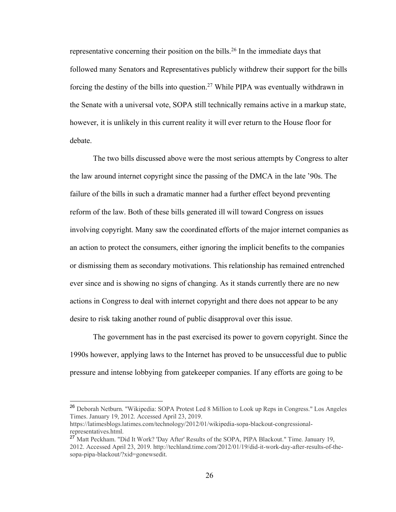representative concerning their position on the bills.<sup>26</sup> In the immediate days that followed many Senators and Representatives publicly withdrew their support for the bills forcing the destiny of the bills into question.27 While PIPA was eventually withdrawn in the Senate with a universal vote, SOPA still technically remains active in a markup state, however, it is unlikely in this current reality it will ever return to the House floor for debate.

The two bills discussed above were the most serious attempts by Congress to alter the law around internet copyright since the passing of the DMCA in the late '90s. The failure of the bills in such a dramatic manner had a further effect beyond preventing reform of the law. Both of these bills generated ill will toward Congress on issues involving copyright. Many saw the coordinated efforts of the major internet companies as an action to protect the consumers, either ignoring the implicit benefits to the companies or dismissing them as secondary motivations. This relationship has remained entrenched ever since and is showing no signs of changing. As it stands currently there are no new actions in Congress to deal with internet copyright and there does not appear to be any desire to risk taking another round of public disapproval over this issue.

The government has in the past exercised its power to govern copyright. Since the 1990s however, applying laws to the Internet has proved to be unsuccessful due to public pressure and intense lobbying from gatekeeper companies. If any efforts are going to be

<sup>&</sup>lt;sup>26</sup> Deborah Netburn. "Wikipedia: SOPA Protest Led 8 Million to Look up Reps in Congress." Los Angeles Times. January 19, 2012. Accessed April 23, 2019.

https://latimesblogs.latimes.com/technology/2012/01/wikipedia-sopa-blackout-congressionalrepresentatives.html.

<sup>&</sup>lt;sup>27</sup> Matt Peckham. "Did It Work? 'Day After' Results of the SOPA, PIPA Blackout." Time. January 19, 2012. Accessed April 23, 2019. http://techland.time.com/2012/01/19/did-it-work-day-after-results-of-thesopa-pipa-blackout/?xid=gonewsedit.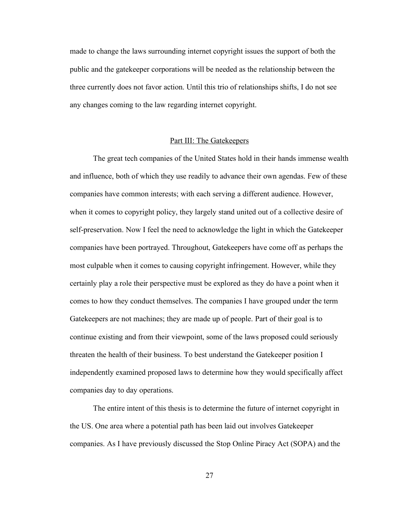made to change the laws surrounding internet copyright issues the support of both the public and the gatekeeper corporations will be needed as the relationship between the three currently does not favor action. Until this trio of relationships shifts, I do not see any changes coming to the law regarding internet copyright.

#### Part III: The Gatekeepers

The great tech companies of the United States hold in their hands immense wealth and influence, both of which they use readily to advance their own agendas. Few of these companies have common interests; with each serving a different audience. However, when it comes to copyright policy, they largely stand united out of a collective desire of self-preservation. Now I feel the need to acknowledge the light in which the Gatekeeper companies have been portrayed. Throughout, Gatekeepers have come off as perhaps the most culpable when it comes to causing copyright infringement. However, while they certainly play a role their perspective must be explored as they do have a point when it comes to how they conduct themselves. The companies I have grouped under the term Gatekeepers are not machines; they are made up of people. Part of their goal is to continue existing and from their viewpoint, some of the laws proposed could seriously threaten the health of their business. To best understand the Gatekeeper position I independently examined proposed laws to determine how they would specifically affect companies day to day operations.

The entire intent of this thesis is to determine the future of internet copyright in the US. One area where a potential path has been laid out involves Gatekeeper companies. As I have previously discussed the Stop Online Piracy Act (SOPA) and the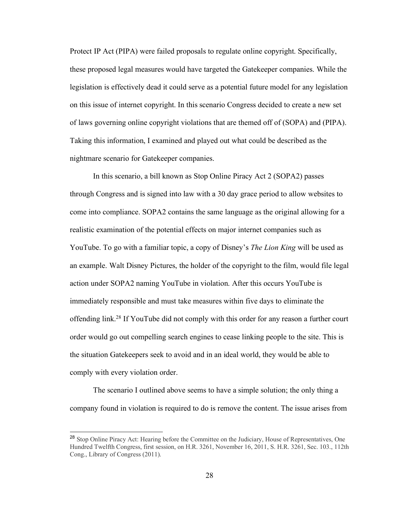Protect IP Act (PIPA) were failed proposals to regulate online copyright. Specifically, these proposed legal measures would have targeted the Gatekeeper companies. While the legislation is effectively dead it could serve as a potential future model for any legislation on this issue of internet copyright. In this scenario Congress decided to create a new set of laws governing online copyright violations that are themed off of (SOPA) and (PIPA). Taking this information, I examined and played out what could be described as the nightmare scenario for Gatekeeper companies.

In this scenario, a bill known as Stop Online Piracy Act 2 (SOPA2) passes through Congress and is signed into law with a 30 day grace period to allow websites to come into compliance. SOPA2 contains the same language as the original allowing for a realistic examination of the potential effects on major internet companies such as YouTube. To go with a familiar topic, a copy of Disney's *The Lion King* will be used as an example. Walt Disney Pictures, the holder of the copyright to the film, would file legal action under SOPA2 naming YouTube in violation. After this occurs YouTube is immediately responsible and must take measures within five days to eliminate the offending link.28 If YouTube did not comply with this order for any reason a further court order would go out compelling search engines to cease linking people to the site. This is the situation Gatekeepers seek to avoid and in an ideal world, they would be able to comply with every violation order.

The scenario I outlined above seems to have a simple solution; the only thing a company found in violation is required to do is remove the content. The issue arises from

<sup>&</sup>lt;sup>28</sup> Stop Online Piracy Act: Hearing before the Committee on the Judiciary, House of Representatives, One Hundred Twelfth Congress, first session, on H.R. 3261, November 16, 2011, S. H.R. 3261, Sec. 103., 112th Cong., Library of Congress (2011).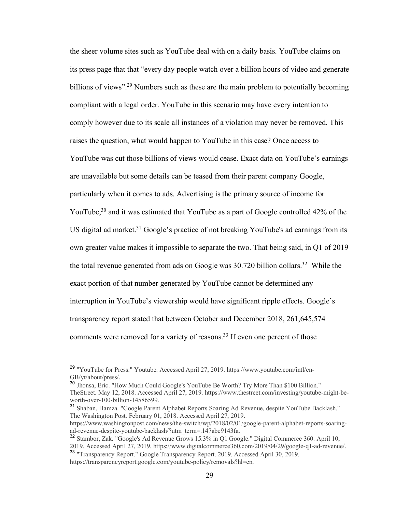the sheer volume sites such as YouTube deal with on a daily basis. YouTube claims on its press page that that "every day people watch over a billion hours of video and generate billions of views".<sup>29</sup> Numbers such as these are the main problem to potentially becoming compliant with a legal order. YouTube in this scenario may have every intention to comply however due to its scale all instances of a violation may never be removed. This raises the question, what would happen to YouTube in this case? Once access to YouTube was cut those billions of views would cease. Exact data on YouTube's earnings are unavailable but some details can be teased from their parent company Google, particularly when it comes to ads. Advertising is the primary source of income for YouTube,<sup>30</sup> and it was estimated that YouTube as a part of Google controlled 42% of the US digital ad market.<sup>31</sup> Google's practice of not breaking YouTube's ad earnings from its own greater value makes it impossible to separate the two. That being said, in Q1 of 2019 the total revenue generated from ads on Google was 30.720 billion dollars.<sup>32</sup> While the exact portion of that number generated by YouTube cannot be determined any interruption in YouTube's viewership would have significant ripple effects. Google's transparency report stated that between October and December 2018, 261,645,574 comments were removed for a variety of reasons.<sup>33</sup> If even one percent of those

 <sup>29</sup> "YouTube for Press." Youtube. Accessed April 27, 2019. https://www.youtube.com/intl/en-GB/yt/about/press/.

<sup>30</sup> Jhonsa, Eric. "How Much Could Google's YouTube Be Worth? Try More Than \$100 Billion." TheStreet. May 12, 2018. Accessed April 27, 2019. https://www.thestreet.com/investing/youtube-might-beworth-over-100-billion-14586599.

<sup>31</sup> Shaban, Hamza. "Google Parent Alphabet Reports Soaring Ad Revenue, despite YouTube Backlash." The Washington Post. February 01, 2018. Accessed April 27, 2019.

https://www.washingtonpost.com/news/the-switch/wp/2018/02/01/google-parent-alphabet-reports-soaringad-revenue-despite-youtube-backlash/?utm\_term=.147abe9143fa.

<sup>&</sup>lt;sup>32</sup> Stambor, Zak. "Google's Ad Revenue Grows 15.3% in Q1 Google." Digital Commerce 360. April 10, 2019. Accessed April 27, 2019. https://www.digitalcommerce360.com/2019/04/29/google-q1-ad-revenue/.

<sup>33</sup> "Transparency Report." Google Transparency Report. 2019. Accessed April 30, 2019. https://transparencyreport.google.com/youtube-policy/removals?hl=en.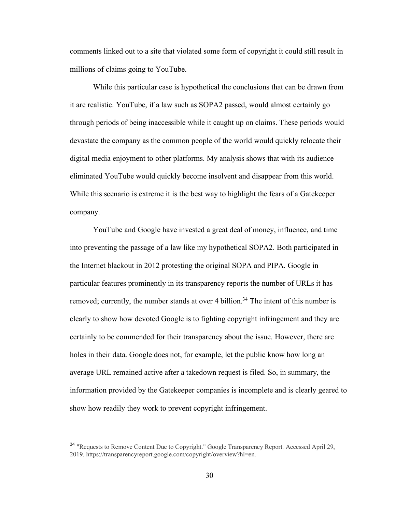comments linked out to a site that violated some form of copyright it could still result in millions of claims going to YouTube.

While this particular case is hypothetical the conclusions that can be drawn from it are realistic. YouTube, if a law such as SOPA2 passed, would almost certainly go through periods of being inaccessible while it caught up on claims. These periods would devastate the company as the common people of the world would quickly relocate their digital media enjoyment to other platforms. My analysis shows that with its audience eliminated YouTube would quickly become insolvent and disappear from this world. While this scenario is extreme it is the best way to highlight the fears of a Gatekeeper company.

YouTube and Google have invested a great deal of money, influence, and time into preventing the passage of a law like my hypothetical SOPA2. Both participated in the Internet blackout in 2012 protesting the original SOPA and PIPA. Google in particular features prominently in its transparency reports the number of URLs it has removed; currently, the number stands at over 4 billion.<sup>34</sup> The intent of this number is clearly to show how devoted Google is to fighting copyright infringement and they are certainly to be commended for their transparency about the issue. However, there are holes in their data. Google does not, for example, let the public know how long an average URL remained active after a takedown request is filed. So, in summary, the information provided by the Gatekeeper companies is incomplete and is clearly geared to show how readily they work to prevent copyright infringement.

<sup>&</sup>lt;sup>34</sup> "Requests to Remove Content Due to Copyright." Google Transparency Report. Accessed April 29, 2019. https://transparencyreport.google.com/copyright/overview?hl=en.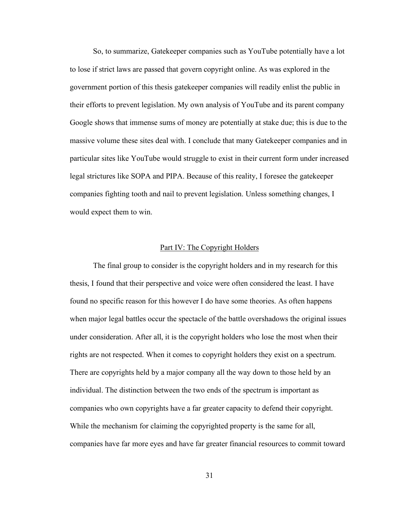So, to summarize, Gatekeeper companies such as YouTube potentially have a lot to lose if strict laws are passed that govern copyright online. As was explored in the government portion of this thesis gatekeeper companies will readily enlist the public in their efforts to prevent legislation. My own analysis of YouTube and its parent company Google shows that immense sums of money are potentially at stake due; this is due to the massive volume these sites deal with. I conclude that many Gatekeeper companies and in particular sites like YouTube would struggle to exist in their current form under increased legal strictures like SOPA and PIPA. Because of this reality, I foresee the gatekeeper companies fighting tooth and nail to prevent legislation. Unless something changes, I would expect them to win.

#### Part IV: The Copyright Holders

The final group to consider is the copyright holders and in my research for this thesis, I found that their perspective and voice were often considered the least. I have found no specific reason for this however I do have some theories. As often happens when major legal battles occur the spectacle of the battle overshadows the original issues under consideration. After all, it is the copyright holders who lose the most when their rights are not respected. When it comes to copyright holders they exist on a spectrum. There are copyrights held by a major company all the way down to those held by an individual. The distinction between the two ends of the spectrum is important as companies who own copyrights have a far greater capacity to defend their copyright. While the mechanism for claiming the copyrighted property is the same for all, companies have far more eyes and have far greater financial resources to commit toward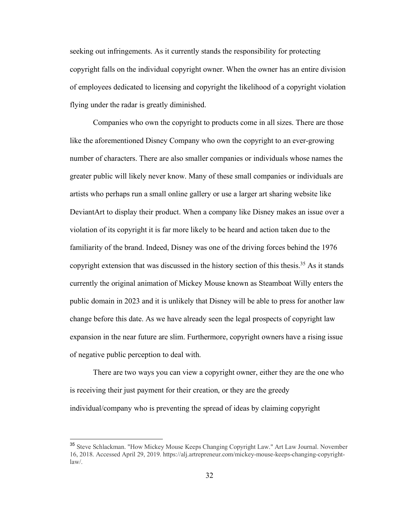seeking out infringements. As it currently stands the responsibility for protecting copyright falls on the individual copyright owner. When the owner has an entire division of employees dedicated to licensing and copyright the likelihood of a copyright violation flying under the radar is greatly diminished.

Companies who own the copyright to products come in all sizes. There are those like the aforementioned Disney Company who own the copyright to an ever-growing number of characters. There are also smaller companies or individuals whose names the greater public will likely never know. Many of these small companies or individuals are artists who perhaps run a small online gallery or use a larger art sharing website like DeviantArt to display their product. When a company like Disney makes an issue over a violation of its copyright it is far more likely to be heard and action taken due to the familiarity of the brand. Indeed, Disney was one of the driving forces behind the 1976 copyright extension that was discussed in the history section of this thesis.<sup>35</sup> As it stands currently the original animation of Mickey Mouse known as Steamboat Willy enters the public domain in 2023 and it is unlikely that Disney will be able to press for another law change before this date. As we have already seen the legal prospects of copyright law expansion in the near future are slim. Furthermore, copyright owners have a rising issue of negative public perception to deal with.

There are two ways you can view a copyright owner, either they are the one who is receiving their just payment for their creation, or they are the greedy individual/company who is preventing the spread of ideas by claiming copyright

<sup>&</sup>lt;sup>35</sup> Steve Schlackman. "How Mickey Mouse Keeps Changing Copyright Law." Art Law Journal. November 16, 2018. Accessed April 29, 2019. https://alj.artrepreneur.com/mickey-mouse-keeps-changing-copyrightlaw/.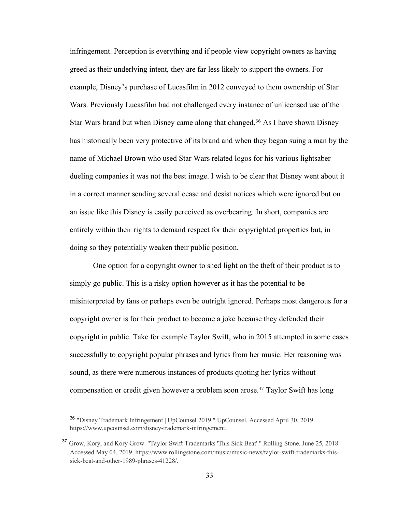infringement. Perception is everything and if people view copyright owners as having greed as their underlying intent, they are far less likely to support the owners. For example, Disney's purchase of Lucasfilm in 2012 conveyed to them ownership of Star Wars. Previously Lucasfilm had not challenged every instance of unlicensed use of the Star Wars brand but when Disney came along that changed.<sup>36</sup> As I have shown Disney has historically been very protective of its brand and when they began suing a man by the name of Michael Brown who used Star Wars related logos for his various lightsaber dueling companies it was not the best image. I wish to be clear that Disney went about it in a correct manner sending several cease and desist notices which were ignored but on an issue like this Disney is easily perceived as overbearing. In short, companies are entirely within their rights to demand respect for their copyrighted properties but, in doing so they potentially weaken their public position.

One option for a copyright owner to shed light on the theft of their product is to simply go public. This is a risky option however as it has the potential to be misinterpreted by fans or perhaps even be outright ignored. Perhaps most dangerous for a copyright owner is for their product to become a joke because they defended their copyright in public. Take for example Taylor Swift, who in 2015 attempted in some cases successfully to copyright popular phrases and lyrics from her music. Her reasoning was sound, as there were numerous instances of products quoting her lyrics without compensation or credit given however a problem soon arose.37 Taylor Swift has long

 <sup>36</sup> "Disney Trademark Infringement | UpCounsel 2019." UpCounsel. Accessed April 30, 2019. https://www.upcounsel.com/disney-trademark-infringement.

<sup>&</sup>lt;sup>37</sup> Grow, Kory, and Kory Grow. "Taylor Swift Trademarks 'This Sick Beat'." Rolling Stone. June 25, 2018. Accessed May 04, 2019. https://www.rollingstone.com/music/music-news/taylor-swift-trademarks-thissick-beat-and-other-1989-phrases-41228/.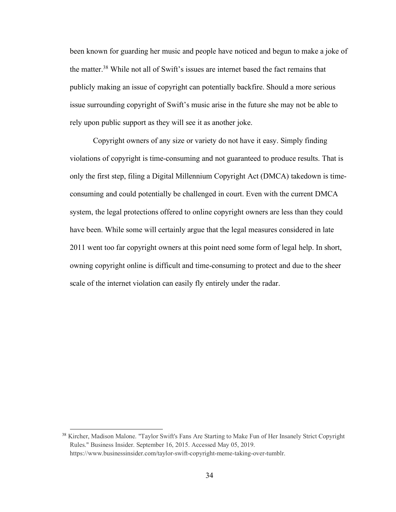been known for guarding her music and people have noticed and begun to make a joke of the matter.38 While not all of Swift's issues are internet based the fact remains that publicly making an issue of copyright can potentially backfire. Should a more serious issue surrounding copyright of Swift's music arise in the future she may not be able to rely upon public support as they will see it as another joke.

Copyright owners of any size or variety do not have it easy. Simply finding violations of copyright is time-consuming and not guaranteed to produce results. That is only the first step, filing a Digital Millennium Copyright Act (DMCA) takedown is timeconsuming and could potentially be challenged in court. Even with the current DMCA system, the legal protections offered to online copyright owners are less than they could have been. While some will certainly argue that the legal measures considered in late 2011 went too far copyright owners at this point need some form of legal help. In short, owning copyright online is difficult and time-consuming to protect and due to the sheer scale of the internet violation can easily fly entirely under the radar.

<sup>&</sup>lt;sup>38</sup> Kircher, Madison Malone. "Taylor Swift's Fans Are Starting to Make Fun of Her Insanely Strict Copyright Rules." Business Insider. September 16, 2015. Accessed May 05, 2019. https://www.businessinsider.com/taylor-swift-copyright-meme-taking-over-tumblr.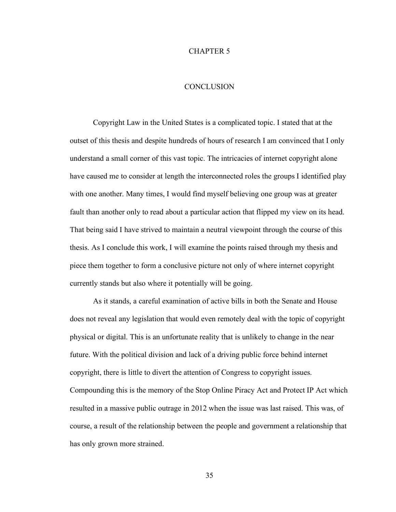#### CHAPTER 5

## **CONCLUSION**

Copyright Law in the United States is a complicated topic. I stated that at the outset of this thesis and despite hundreds of hours of research I am convinced that I only understand a small corner of this vast topic. The intricacies of internet copyright alone have caused me to consider at length the interconnected roles the groups I identified play with one another. Many times, I would find myself believing one group was at greater fault than another only to read about a particular action that flipped my view on its head. That being said I have strived to maintain a neutral viewpoint through the course of this thesis. As I conclude this work, I will examine the points raised through my thesis and piece them together to form a conclusive picture not only of where internet copyright currently stands but also where it potentially will be going.

As it stands, a careful examination of active bills in both the Senate and House does not reveal any legislation that would even remotely deal with the topic of copyright physical or digital. This is an unfortunate reality that is unlikely to change in the near future. With the political division and lack of a driving public force behind internet copyright, there is little to divert the attention of Congress to copyright issues. Compounding this is the memory of the Stop Online Piracy Act and Protect IP Act which resulted in a massive public outrage in 2012 when the issue was last raised. This was, of course, a result of the relationship between the people and government a relationship that has only grown more strained.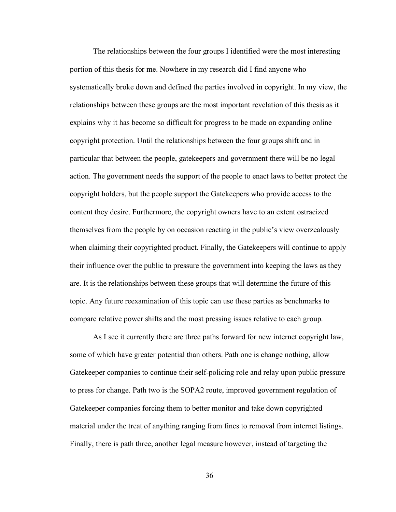The relationships between the four groups I identified were the most interesting portion of this thesis for me. Nowhere in my research did I find anyone who systematically broke down and defined the parties involved in copyright. In my view, the relationships between these groups are the most important revelation of this thesis as it explains why it has become so difficult for progress to be made on expanding online copyright protection. Until the relationships between the four groups shift and in particular that between the people, gatekeepers and government there will be no legal action. The government needs the support of the people to enact laws to better protect the copyright holders, but the people support the Gatekeepers who provide access to the content they desire. Furthermore, the copyright owners have to an extent ostracized themselves from the people by on occasion reacting in the public's view overzealously when claiming their copyrighted product. Finally, the Gatekeepers will continue to apply their influence over the public to pressure the government into keeping the laws as they are. It is the relationships between these groups that will determine the future of this topic. Any future reexamination of this topic can use these parties as benchmarks to compare relative power shifts and the most pressing issues relative to each group.

As I see it currently there are three paths forward for new internet copyright law, some of which have greater potential than others. Path one is change nothing, allow Gatekeeper companies to continue their self-policing role and relay upon public pressure to press for change. Path two is the SOPA2 route, improved government regulation of Gatekeeper companies forcing them to better monitor and take down copyrighted material under the treat of anything ranging from fines to removal from internet listings. Finally, there is path three, another legal measure however, instead of targeting the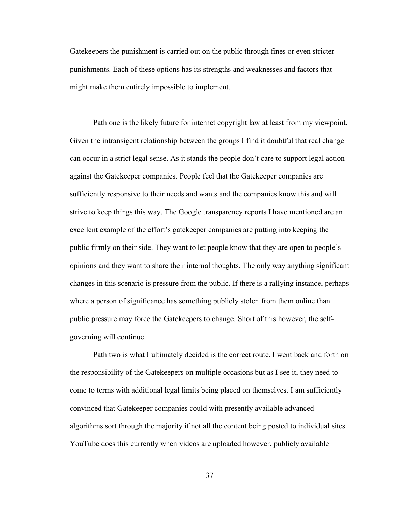Gatekeepers the punishment is carried out on the public through fines or even stricter punishments. Each of these options has its strengths and weaknesses and factors that might make them entirely impossible to implement.

Path one is the likely future for internet copyright law at least from my viewpoint. Given the intransigent relationship between the groups I find it doubtful that real change can occur in a strict legal sense. As it stands the people don't care to support legal action against the Gatekeeper companies. People feel that the Gatekeeper companies are sufficiently responsive to their needs and wants and the companies know this and will strive to keep things this way. The Google transparency reports I have mentioned are an excellent example of the effort's gatekeeper companies are putting into keeping the public firmly on their side. They want to let people know that they are open to people's opinions and they want to share their internal thoughts. The only way anything significant changes in this scenario is pressure from the public. If there is a rallying instance, perhaps where a person of significance has something publicly stolen from them online than public pressure may force the Gatekeepers to change. Short of this however, the selfgoverning will continue.

Path two is what I ultimately decided is the correct route. I went back and forth on the responsibility of the Gatekeepers on multiple occasions but as I see it, they need to come to terms with additional legal limits being placed on themselves. I am sufficiently convinced that Gatekeeper companies could with presently available advanced algorithms sort through the majority if not all the content being posted to individual sites. YouTube does this currently when videos are uploaded however, publicly available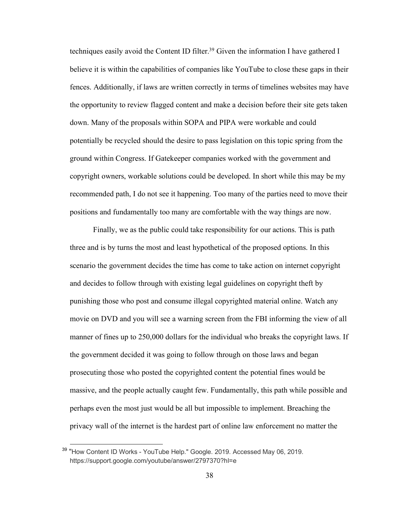techniques easily avoid the Content ID filter.<sup>39</sup> Given the information I have gathered I believe it is within the capabilities of companies like YouTube to close these gaps in their fences. Additionally, if laws are written correctly in terms of timelines websites may have the opportunity to review flagged content and make a decision before their site gets taken down. Many of the proposals within SOPA and PIPA were workable and could potentially be recycled should the desire to pass legislation on this topic spring from the ground within Congress. If Gatekeeper companies worked with the government and copyright owners, workable solutions could be developed. In short while this may be my recommended path, I do not see it happening. Too many of the parties need to move their positions and fundamentally too many are comfortable with the way things are now.

Finally, we as the public could take responsibility for our actions. This is path three and is by turns the most and least hypothetical of the proposed options. In this scenario the government decides the time has come to take action on internet copyright and decides to follow through with existing legal guidelines on copyright theft by punishing those who post and consume illegal copyrighted material online. Watch any movie on DVD and you will see a warning screen from the FBI informing the view of all manner of fines up to 250,000 dollars for the individual who breaks the copyright laws. If the government decided it was going to follow through on those laws and began prosecuting those who posted the copyrighted content the potential fines would be massive, and the people actually caught few. Fundamentally, this path while possible and perhaps even the most just would be all but impossible to implement. Breaching the privacy wall of the internet is the hardest part of online law enforcement no matter the

<sup>&</sup>lt;sup>39</sup> "How Content ID Works - YouTube Help." Google. 2019. Accessed May 06, 2019. https://support.google.com/youtube/answer/2797370?hl=e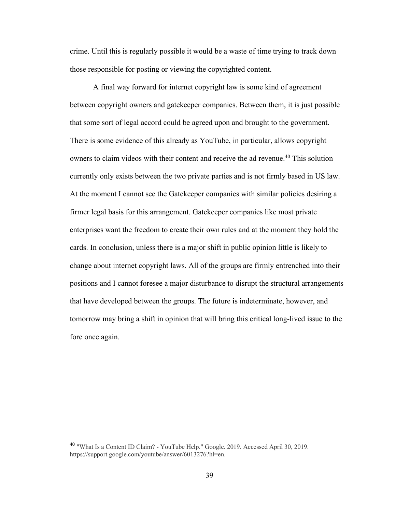crime. Until this is regularly possible it would be a waste of time trying to track down those responsible for posting or viewing the copyrighted content.

A final way forward for internet copyright law is some kind of agreement between copyright owners and gatekeeper companies. Between them, it is just possible that some sort of legal accord could be agreed upon and brought to the government. There is some evidence of this already as YouTube, in particular, allows copyright owners to claim videos with their content and receive the ad revenue.<sup>40</sup> This solution currently only exists between the two private parties and is not firmly based in US law. At the moment I cannot see the Gatekeeper companies with similar policies desiring a firmer legal basis for this arrangement. Gatekeeper companies like most private enterprises want the freedom to create their own rules and at the moment they hold the cards. In conclusion, unless there is a major shift in public opinion little is likely to change about internet copyright laws. All of the groups are firmly entrenched into their positions and I cannot foresee a major disturbance to disrupt the structural arrangements that have developed between the groups. The future is indeterminate, however, and tomorrow may bring a shift in opinion that will bring this critical long-lived issue to the fore once again.

 <sup>40</sup> "What Is a Content ID Claim? - YouTube Help." Google. 2019. Accessed April 30, 2019. https://support.google.com/youtube/answer/6013276?hl=en.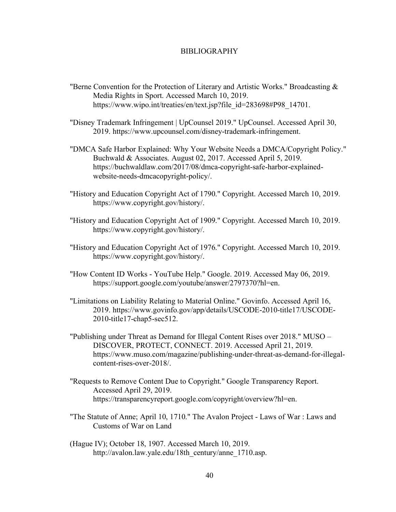#### BIBLIOGRAPHY

- "Berne Convention for the Protection of Literary and Artistic Works." Broadcasting  $\&$ Media Rights in Sport. Accessed March 10, 2019. https://www.wipo.int/treaties/en/text.jsp?file\_id=283698#P98\_14701.
- "Disney Trademark Infringement | UpCounsel 2019." UpCounsel. Accessed April 30, 2019. https://www.upcounsel.com/disney-trademark-infringement.
- "DMCA Safe Harbor Explained: Why Your Website Needs a DMCA/Copyright Policy." Buchwald & Associates. August 02, 2017. Accessed April 5, 2019. https://buchwaldlaw.com/2017/08/dmca-copyright-safe-harbor-explainedwebsite-needs-dmcacopyright-policy/.
- "History and Education Copyright Act of 1790." Copyright. Accessed March 10, 2019. https://www.copyright.gov/history/.
- "History and Education Copyright Act of 1909." Copyright. Accessed March 10, 2019. https://www.copyright.gov/history/.
- "History and Education Copyright Act of 1976." Copyright. Accessed March 10, 2019. https://www.copyright.gov/history/.
- "How Content ID Works YouTube Help." Google. 2019. Accessed May 06, 2019. https://support.google.com/youtube/answer/2797370?hl=en.
- "Limitations on Liability Relating to Material Online." Govinfo. Accessed April 16, 2019. https://www.govinfo.gov/app/details/USCODE-2010-title17/USCODE-2010-title17-chap5-sec512.
- "Publishing under Threat as Demand for Illegal Content Rises over 2018." MUSO DISCOVER, PROTECT, CONNECT. 2019. Accessed April 21, 2019. https://www.muso.com/magazine/publishing-under-threat-as-demand-for-illegalcontent-rises-over-2018/.
- "Requests to Remove Content Due to Copyright." Google Transparency Report. Accessed April 29, 2019. https://transparencyreport.google.com/copyright/overview?hl=en.
- "The Statute of Anne; April 10, 1710." The Avalon Project Laws of War : Laws and Customs of War on Land
- (Hague IV); October 18, 1907. Accessed March 10, 2019. http://avalon.law.yale.edu/18th\_century/anne\_1710.asp.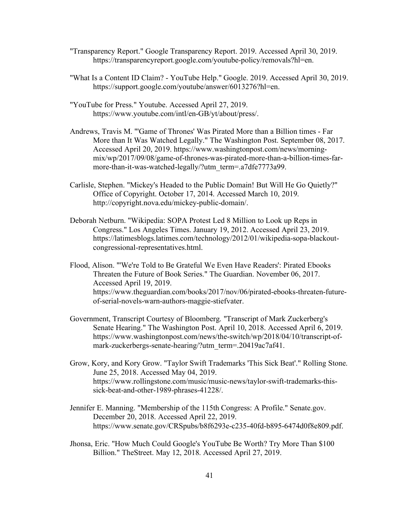- "Transparency Report." Google Transparency Report. 2019. Accessed April 30, 2019. https://transparencyreport.google.com/youtube-policy/removals?hl=en.
- "What Is a Content ID Claim? YouTube Help." Google. 2019. Accessed April 30, 2019. https://support.google.com/youtube/answer/6013276?hl=en.
- "YouTube for Press." Youtube. Accessed April 27, 2019. https://www.youtube.com/intl/en-GB/yt/about/press/.
- Andrews, Travis M. "'Game of Thrones' Was Pirated More than a Billion times Far More than It Was Watched Legally." The Washington Post. September 08, 2017. Accessed April 20, 2019. https://www.washingtonpost.com/news/morningmix/wp/2017/09/08/game-of-thrones-was-pirated-more-than-a-billion-times-farmore-than-it-was-watched-legally/?utm\_term=.a7dfe7773a99.
- Carlisle, Stephen. "Mickey's Headed to the Public Domain! But Will He Go Quietly?" Office of Copyright. October 17, 2014. Accessed March 10, 2019. http://copyright.nova.edu/mickey-public-domain/.
- Deborah Netburn. "Wikipedia: SOPA Protest Led 8 Million to Look up Reps in Congress." Los Angeles Times. January 19, 2012. Accessed April 23, 2019. https://latimesblogs.latimes.com/technology/2012/01/wikipedia-sopa-blackoutcongressional-representatives.html.
- Flood, Alison. "'We're Told to Be Grateful We Even Have Readers': Pirated Ebooks Threaten the Future of Book Series." The Guardian. November 06, 2017. Accessed April 19, 2019. https://www.theguardian.com/books/2017/nov/06/pirated-ebooks-threaten-futureof-serial-novels-warn-authors-maggie-stiefvater.
- Government, Transcript Courtesy of Bloomberg. "Transcript of Mark Zuckerberg's Senate Hearing." The Washington Post. April 10, 2018. Accessed April 6, 2019. https://www.washingtonpost.com/news/the-switch/wp/2018/04/10/transcript-ofmark-zuckerbergs-senate-hearing/?utm\_term=.20419ac7af41.
- Grow, Kory, and Kory Grow. "Taylor Swift Trademarks 'This Sick Beat'." Rolling Stone. June 25, 2018. Accessed May 04, 2019. https://www.rollingstone.com/music/music-news/taylor-swift-trademarks-thissick-beat-and-other-1989-phrases-41228/.
- Jennifer E. Manning. "Membership of the 115th Congress: A Profile." Senate.gov. December 20, 2018. Accessed April 22, 2019. https://www.senate.gov/CRSpubs/b8f6293e-c235-40fd-b895-6474d0f8e809.pdf.
- Jhonsa, Eric. "How Much Could Google's YouTube Be Worth? Try More Than \$100 Billion." TheStreet. May 12, 2018. Accessed April 27, 2019.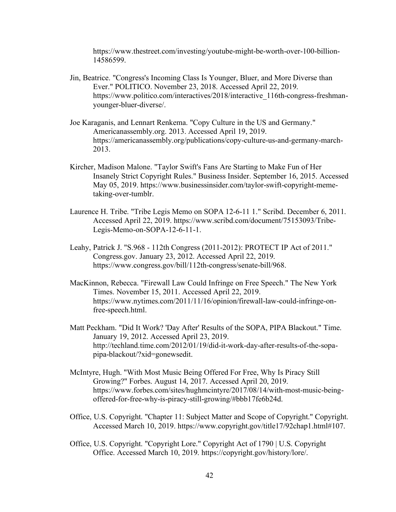https://www.thestreet.com/investing/youtube-might-be-worth-over-100-billion-14586599.

- Jin, Beatrice. "Congress's Incoming Class Is Younger, Bluer, and More Diverse than Ever." POLITICO. November 23, 2018. Accessed April 22, 2019. https://www.politico.com/interactives/2018/interactive\_116th-congress-freshmanyounger-bluer-diverse/.
- Joe Karaganis, and Lennart Renkema. "Copy Culture in the US and Germany." Americanassembly.org. 2013. Accessed April 19, 2019. https://americanassembly.org/publications/copy-culture-us-and-germany-march-2013.
- Kircher, Madison Malone. "Taylor Swift's Fans Are Starting to Make Fun of Her Insanely Strict Copyright Rules." Business Insider. September 16, 2015. Accessed May 05, 2019. https://www.businessinsider.com/taylor-swift-copyright-memetaking-over-tumblr.
- Laurence H. Tribe. "Tribe Legis Memo on SOPA 12-6-11 1." Scribd. December 6, 2011. Accessed April 22, 2019. https://www.scribd.com/document/75153093/Tribe-Legis-Memo-on-SOPA-12-6-11-1.
- Leahy, Patrick J. "S.968 112th Congress (2011-2012): PROTECT IP Act of 2011." Congress.gov. January 23, 2012. Accessed April 22, 2019. https://www.congress.gov/bill/112th-congress/senate-bill/968.
- MacKinnon, Rebecca. "Firewall Law Could Infringe on Free Speech." The New York Times. November 15, 2011. Accessed April 22, 2019. https://www.nytimes.com/2011/11/16/opinion/firewall-law-could-infringe-onfree-speech.html.
- Matt Peckham. "Did It Work? 'Day After' Results of the SOPA, PIPA Blackout." Time. January 19, 2012. Accessed April 23, 2019. http://techland.time.com/2012/01/19/did-it-work-day-after-results-of-the-sopapipa-blackout/?xid=gonewsedit.
- McIntyre, Hugh. "With Most Music Being Offered For Free, Why Is Piracy Still Growing?" Forbes. August 14, 2017. Accessed April 20, 2019. https://www.forbes.com/sites/hughmcintyre/2017/08/14/with-most-music-beingoffered-for-free-why-is-piracy-still-growing/#bbb17fe6b24d.
- Office, U.S. Copyright. "Chapter 11: Subject Matter and Scope of Copyright." Copyright. Accessed March 10, 2019. https://www.copyright.gov/title17/92chap1.html#107.
- Office, U.S. Copyright. "Copyright Lore." Copyright Act of 1790 | U.S. Copyright Office. Accessed March 10, 2019. https://copyright.gov/history/lore/.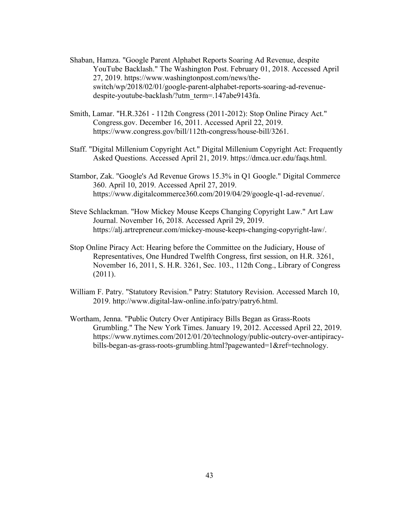- Shaban, Hamza. "Google Parent Alphabet Reports Soaring Ad Revenue, despite YouTube Backlash." The Washington Post. February 01, 2018. Accessed April 27, 2019. https://www.washingtonpost.com/news/theswitch/wp/2018/02/01/google-parent-alphabet-reports-soaring-ad-revenuedespite-youtube-backlash/?utm\_term=.147abe9143fa.
- Smith, Lamar. "H.R.3261 112th Congress (2011-2012): Stop Online Piracy Act." Congress.gov. December 16, 2011. Accessed April 22, 2019. https://www.congress.gov/bill/112th-congress/house-bill/3261.
- Staff. "Digital Millenium Copyright Act." Digital Millenium Copyright Act: Frequently Asked Questions. Accessed April 21, 2019. https://dmca.ucr.edu/faqs.html.
- Stambor, Zak. "Google's Ad Revenue Grows 15.3% in Q1 Google." Digital Commerce 360. April 10, 2019. Accessed April 27, 2019. https://www.digitalcommerce360.com/2019/04/29/google-q1-ad-revenue/.
- Steve Schlackman. "How Mickey Mouse Keeps Changing Copyright Law." Art Law Journal. November 16, 2018. Accessed April 29, 2019. https://alj.artrepreneur.com/mickey-mouse-keeps-changing-copyright-law/.
- Stop Online Piracy Act: Hearing before the Committee on the Judiciary, House of Representatives, One Hundred Twelfth Congress, first session, on H.R. 3261, November 16, 2011, S. H.R. 3261, Sec. 103., 112th Cong., Library of Congress (2011).
- William F. Patry. "Statutory Revision." Patry: Statutory Revision. Accessed March 10, 2019. http://www.digital-law-online.info/patry/patry6.html.
- Wortham, Jenna. "Public Outcry Over Antipiracy Bills Began as Grass-Roots Grumbling." The New York Times. January 19, 2012. Accessed April 22, 2019. https://www.nytimes.com/2012/01/20/technology/public-outcry-over-antipiracybills-began-as-grass-roots-grumbling.html?pagewanted=1&ref=technology.